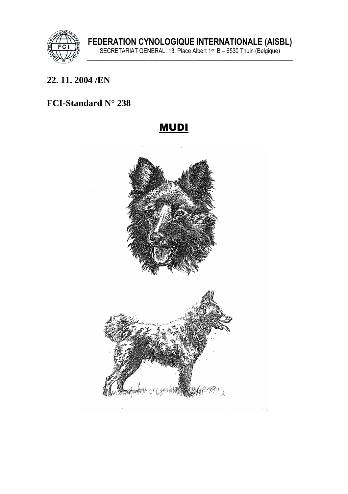

#### 22.11.2004/EN

## FCI-Standard N° 238

## **MUDI**

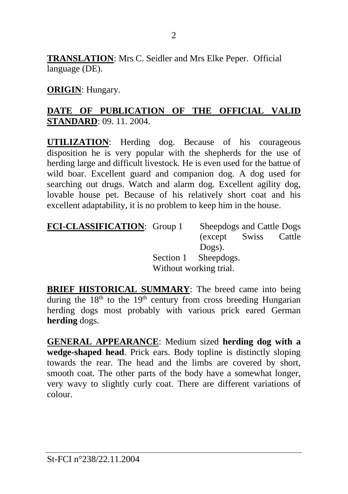**TRANSLATION**: Mrs C. Seidler and Mrs Elke Peper. Official language (DE).

**ORIGIN**: Hungary.

### **DATE OF PUBLICATION OF THE OFFICIAL VALID STANDARD**: 09. 11. 2004.

**UTILIZATION**: Herding dog. Because of his courageous disposition he is very popular with the shepherds for the use of herding large and difficult livestock. He is even used for the battue of wild boar. Excellent guard and companion dog. A dog used for searching out drugs. Watch and alarm dog. Excellent agility dog, lovable house pet. Because of his relatively short coat and his excellent adaptability, it is no problem to keep him in the house.

| <b>FCI-CLASSIFICATION:</b> Group 1 |                        | Sheepdogs and Cattle Dogs |        |
|------------------------------------|------------------------|---------------------------|--------|
|                                    |                        | (except Swiss             | Cattle |
|                                    |                        | Dogs).                    |        |
|                                    |                        | Section 1 Sheepdogs.      |        |
|                                    | Without working trial. |                           |        |

**BRIEF HISTORICAL SUMMARY**: The breed came into being during the  $18<sup>th</sup>$  to the  $19<sup>th</sup>$  century from cross breeding Hungarian herding dogs most probably with various prick eared German **herding** dogs.

**GENERAL APPEARANCE**: Medium sized **herding dog with a wedge-shaped head**. Prick ears. Body topline is distinctly sloping towards the rear. The head and the limbs are covered by short, smooth coat. The other parts of the body have a somewhat longer, very wavy to slightly curly coat. There are different variations of colour.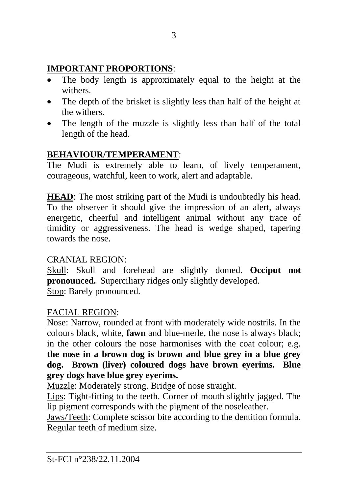## **IMPORTANT PROPORTIONS**:

- The body length is approximately equal to the height at the withers.
- The depth of the brisket is slightly less than half of the height at the withers.
- The length of the muzzle is slightly less than half of the total length of the head.

# **BEHAVIOUR/TEMPERAMENT**:

The Mudi is extremely able to learn, of lively temperament, courageous, watchful, keen to work, alert and adaptable.

**HEAD**: The most striking part of the Mudi is undoubtedly his head. To the observer it should give the impression of an alert, always energetic, cheerful and intelligent animal without any trace of timidity or aggressiveness. The head is wedge shaped, tapering towards the nose.

## CRANIAL REGION:

Skull: Skull and forehead are slightly domed. **Occiput not pronounced.** Superciliary ridges only slightly developed. Stop: Barely pronounced.

## FACIAL REGION:

Nose: Narrow, rounded at front with moderately wide nostrils. In the colours black, white, **fawn** and blue-merle, the nose is always black; in the other colours the nose harmonises with the coat colour; e.g. **the nose in a brown dog is brown and blue grey in a blue grey dog. Brown (liver) coloured dogs have brown eyerims. Blue grey dogs have blue grey eyerims.**

Muzzle: Moderately strong. Bridge of nose straight.

Lips: Tight-fitting to the teeth. Corner of mouth slightly jagged. The lip pigment corresponds with the pigment of the noseleather.

Jaws/Teeth: Complete scissor bite according to the dentition formula. Regular teeth of medium size.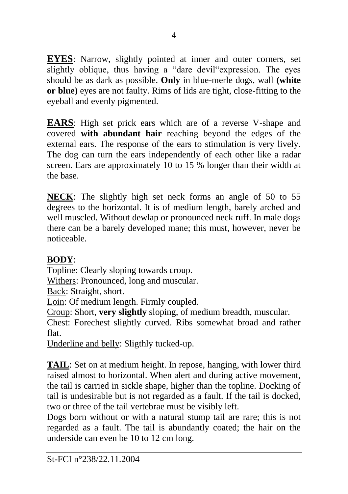**EYES**: Narrow, slightly pointed at inner and outer corners, set slightly oblique, thus having a "dare devil"expression. The eyes should be as dark as possible. **Only** in blue-merle dogs, wall **(white or blue)** eyes are not faulty. Rims of lids are tight, close-fitting to the eyeball and evenly pigmented.

**EARS**: High set prick ears which are of a reverse V-shape and covered **with abundant hair** reaching beyond the edges of the external ears. The response of the ears to stimulation is very lively. The dog can turn the ears independently of each other like a radar screen. Ears are approximately 10 to 15 % longer than their width at the base.

**NECK**: The slightly high set neck forms an angle of 50 to 55 degrees to the horizontal. It is of medium length, barely arched and well muscled. Without dewlap or pronounced neck ruff. In male dogs there can be a barely developed mane; this must, however, never be noticeable.

### **BODY**:

Topline: Clearly sloping towards croup.

Withers: Pronounced, long and muscular.

Back: Straight, short.

Loin: Of medium length. Firmly coupled.

Croup: Short, **very slightly** sloping, of medium breadth, muscular.

Chest: Forechest slightly curved. Ribs somewhat broad and rather flat.

Underline and belly: Sligthly tucked-up.

**TAIL**: Set on at medium height. In repose, hanging, with lower third raised almost to horizontal. When alert and during active movement, the tail is carried in sickle shape, higher than the topline. Docking of tail is undesirable but is not regarded as a fault. If the tail is docked, two or three of the tail vertebrae must be visibly left.

Dogs born without or with a natural stump tail are rare; this is not regarded as a fault. The tail is abundantly coated; the hair on the underside can even be 10 to 12 cm long.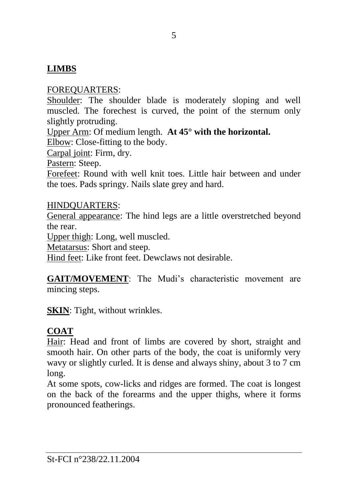### **LIMBS**

#### FOREQUARTERS:

Shoulder: The shoulder blade is moderately sloping and well muscled. The forechest is curved, the point of the sternum only slightly protruding.

Upper Arm: Of medium length. **At 45° with the horizontal.**

Elbow: Close-fitting to the body.

Carpal joint: Firm, dry.

Pastern: Steep.

Forefeet: Round with well knit toes. Little hair between and under the toes. Pads springy. Nails slate grey and hard.

#### HINDQUARTERS:

General appearance: The hind legs are a little overstretched beyond the rear.

Upper thigh: Long, well muscled.

Metatarsus: Short and steep.

Hind feet: Like front feet. Dewclaws not desirable.

**GAIT/MOVEMENT**: The Mudi's characteristic movement are mincing steps.

**SKIN**: Tight, without wrinkles.

#### **COAT**

Hair: Head and front of limbs are covered by short, straight and smooth hair. On other parts of the body, the coat is uniformly very wavy or slightly curled. It is dense and always shiny, about 3 to 7 cm long.

At some spots, cow-licks and ridges are formed. The coat is longest on the back of the forearms and the upper thighs, where it forms pronounced featherings.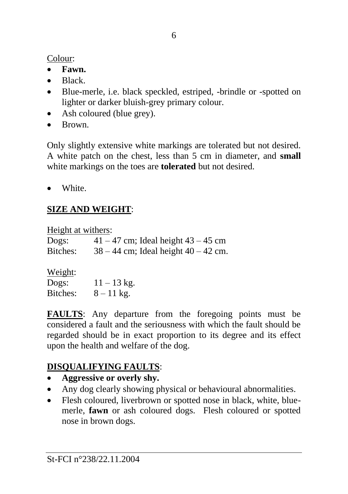Colour:

- **Fawn.**
- Black.
- Blue-merle, i.e. black speckled, estriped, -brindle or -spotted on lighter or darker bluish-grey primary colour.
- Ash coloured (blue grey).
- Brown.

Only slightly extensive white markings are tolerated but not desired. A white patch on the chest, less than 5 cm in diameter, and **small**  white markings on the toes are **tolerated** but not desired.

• White.

# **SIZE AND WEIGHT**:

Height at withers:

| Dogs:    | $41 - 47$ cm; Ideal height $43 - 45$ cm  |
|----------|------------------------------------------|
| Bitches: | $38 - 44$ cm; Ideal height $40 - 42$ cm. |

### $W$ eight:

| ________<br>Dogs: | $11 - 13$ kg. |
|-------------------|---------------|
| Bitches:          | $8 - 11$ kg.  |

**FAULTS**: Any departure from the foregoing points must be considered a fault and the seriousness with which the fault should be regarded should be in exact proportion to its degree and its effect upon the health and welfare of the dog.

## **DISQUALIFYING FAULTS**:

- **Aggressive or overly shy.**
- Any dog clearly showing physical or behavioural abnormalities.
- Flesh coloured, liverbrown or spotted nose in black, white, bluemerle, **fawn** or ash coloured dogs. Flesh coloured or spotted nose in brown dogs.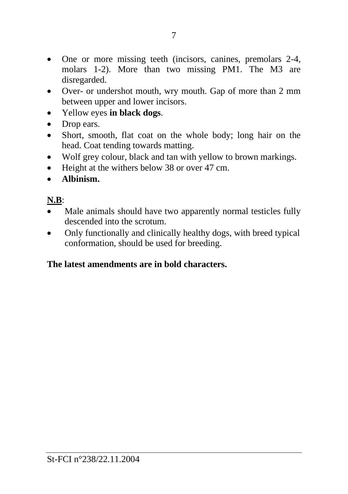- One or more missing teeth (incisors, canines, premolars 2-4, molars 1-2). More than two missing PM1. The M3 are disregarded.
- Over- or undershot mouth, wry mouth. Gap of more than 2 mm between upper and lower incisors.
- Yellow eyes **in black dogs**.
- Drop ears.
- Short, smooth, flat coat on the whole body; long hair on the head. Coat tending towards matting.
- Wolf grey colour, black and tan with yellow to brown markings.
- Height at the withers below 38 or over 47 cm.
- **Albinism.**

## **N.B**:

- Male animals should have two apparently normal testicles fully descended into the scrotum.
- Only functionally and clinically healthy dogs, with breed typical conformation, should be used for breeding.

### **The latest amendments are in bold characters.**